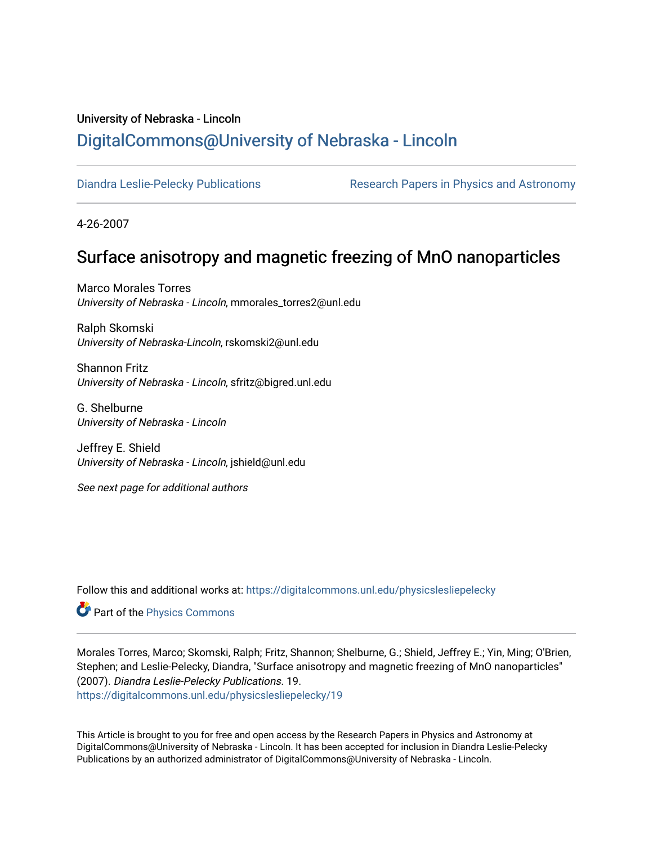# University of Nebraska - Lincoln [DigitalCommons@University of Nebraska - Lincoln](https://digitalcommons.unl.edu/)

[Diandra Leslie-Pelecky Publications](https://digitalcommons.unl.edu/physicslesliepelecky) **Research Papers in Physics and Astronomy** 

4-26-2007

## Surface anisotropy and magnetic freezing of MnO nanoparticles

Marco Morales Torres University of Nebraska - Lincoln, mmorales\_torres2@unl.edu

Ralph Skomski University of Nebraska-Lincoln, rskomski2@unl.edu

Shannon Fritz University of Nebraska - Lincoln, sfritz@bigred.unl.edu

G. Shelburne University of Nebraska - Lincoln

Jeffrey E. Shield University of Nebraska - Lincoln, jshield@unl.edu

See next page for additional authors

Follow this and additional works at: [https://digitalcommons.unl.edu/physicslesliepelecky](https://digitalcommons.unl.edu/physicslesliepelecky?utm_source=digitalcommons.unl.edu%2Fphysicslesliepelecky%2F19&utm_medium=PDF&utm_campaign=PDFCoverPages) 

Part of the [Physics Commons](http://network.bepress.com/hgg/discipline/193?utm_source=digitalcommons.unl.edu%2Fphysicslesliepelecky%2F19&utm_medium=PDF&utm_campaign=PDFCoverPages)

Morales Torres, Marco; Skomski, Ralph; Fritz, Shannon; Shelburne, G.; Shield, Jeffrey E.; Yin, Ming; O'Brien, Stephen; and Leslie-Pelecky, Diandra, "Surface anisotropy and magnetic freezing of MnO nanoparticles" (2007). Diandra Leslie-Pelecky Publications. 19. [https://digitalcommons.unl.edu/physicslesliepelecky/19](https://digitalcommons.unl.edu/physicslesliepelecky/19?utm_source=digitalcommons.unl.edu%2Fphysicslesliepelecky%2F19&utm_medium=PDF&utm_campaign=PDFCoverPages) 

This Article is brought to you for free and open access by the Research Papers in Physics and Astronomy at DigitalCommons@University of Nebraska - Lincoln. It has been accepted for inclusion in Diandra Leslie-Pelecky Publications by an authorized administrator of DigitalCommons@University of Nebraska - Lincoln.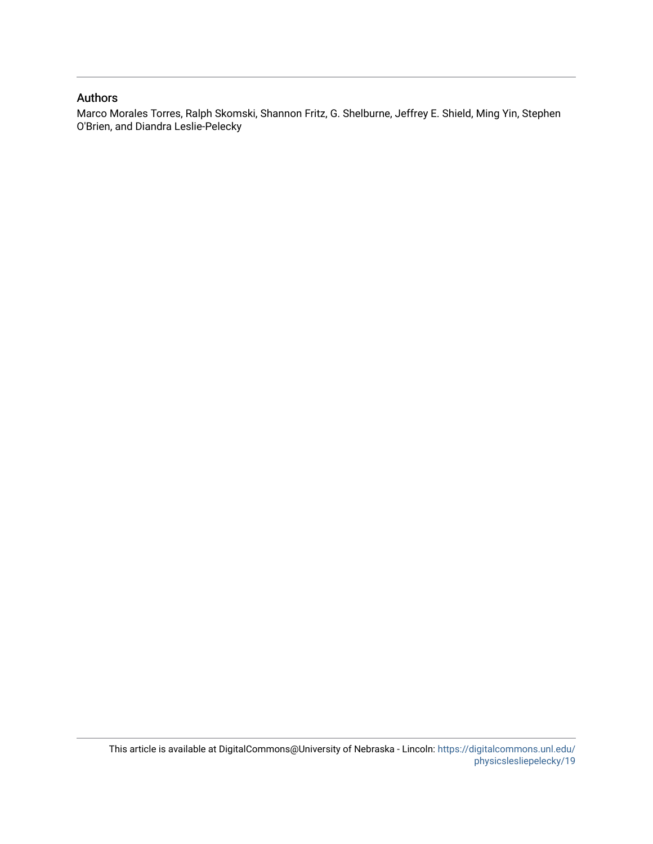## Authors

Marco Morales Torres, Ralph Skomski, Shannon Fritz, G. Shelburne, Jeffrey E. Shield, Ming Yin, Stephen O'Brien, and Diandra Leslie-Pelecky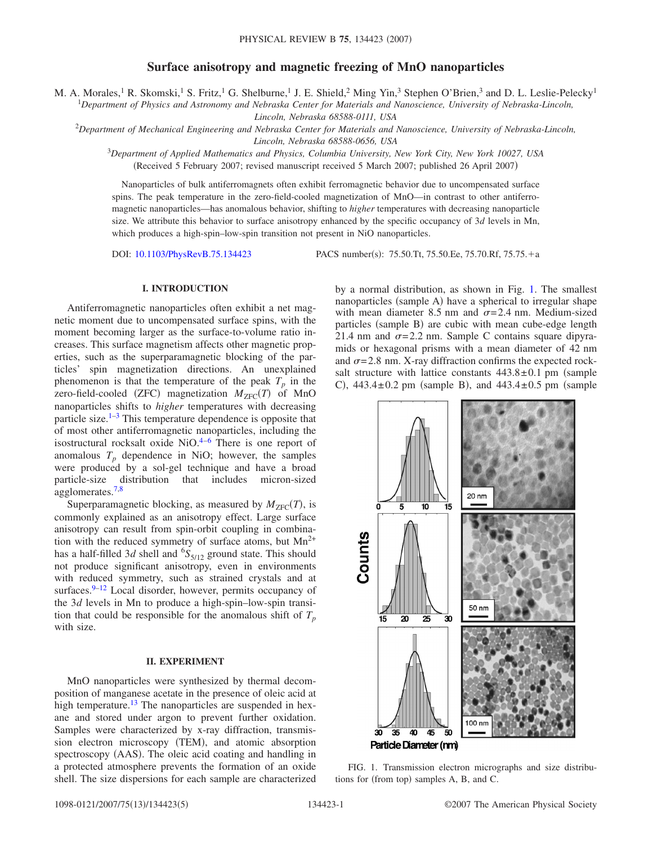### **Surface anisotropy and magnetic freezing of MnO nanoparticles**

M. A. Morales, <sup>1</sup> R. Skomski, <sup>1</sup> S. Fritz, <sup>1</sup> G. Shelburne, <sup>1</sup> J. E. Shield, <sup>2</sup> Ming Yin, <sup>3</sup> Stephen O'Brien, <sup>3</sup> and D. L. Leslie-Pelecky <sup>1</sup>

1 *Department of Physics and Astronomy and Nebraska Center for Materials and Nanoscience, University of Nebraska-Lincoln,*

*Lincoln, Nebraska 68588-0111, USA*

2 *Department of Mechanical Engineering and Nebraska Center for Materials and Nanoscience, University of Nebraska-Lincoln, Lincoln, Nebraska 68588-0656, USA*

<sup>3</sup>*Department of Applied Mathematics and Physics, Columbia University, New York City, New York 10027, USA*

(Received 5 February 2007; revised manuscript received 5 March 2007; published 26 April 2007)

Nanoparticles of bulk antiferromagnets often exhibit ferromagnetic behavior due to uncompensated surface spins. The peak temperature in the zero-field-cooled magnetization of MnO—in contrast to other antiferromagnetic nanoparticles—has anomalous behavior, shifting to *higher* temperatures with decreasing nanoparticle size. We attribute this behavior to surface anisotropy enhanced by the specific occupancy of 3*d* levels in Mn, which produces a high-spin–low-spin transition not present in NiO nanoparticles.

DOI: [10.1103/PhysRevB.75.134423](http://dx.doi.org/10.1103/PhysRevB.75.134423)

PACS number(s): 75.50.Tt, 75.50.Ee, 75.70.Rf, 75.75.+a

### **I. INTRODUCTION**

Antiferromagnetic nanoparticles often exhibit a net magnetic moment due to uncompensated surface spins, with the moment becoming larger as the surface-to-volume ratio increases. This surface magnetism affects other magnetic properties, such as the superparamagnetic blocking of the particles' spin magnetization directions. An unexplained phenomenon is that the temperature of the peak  $T_p$  in the zero-field-cooled (ZFC) magnetization  $M_{ZFC}(T)$  of MnO nanoparticles shifts to *higher* temperatures with decreasing particle size. $1-3$  $1-3$  This temperature dependence is opposite that of most other antiferromagnetic nanoparticles, including the isostructural rocksalt oxide  $NiO<sup>4-6</sup>$  $NiO<sup>4-6</sup>$  $NiO<sup>4-6</sup>$  There is one report of anomalous  $T_p$  dependence in NiO; however, the samples were produced by a sol-gel technique and have a broad particle-size distribution that includes micron-sized agglomerates.<sup>7[,8](#page-6-5)</sup>

Superparamagnetic blocking, as measured by  $M_{ZFC}(T)$ , is commonly explained as an anisotropy effect. Large surface anisotropy can result from spin-orbit coupling in combination with the reduced symmetry of surface atoms, but  $Mn^{2+}$ has a half-filled  $3d$  shell and  $^{6}S_{5/12}$  ground state. This should not produce significant anisotropy, even in environments with reduced symmetry, such as strained crystals and at surfaces. $9-12$  $9-12$  Local disorder, however, permits occupancy of the 3*d* levels in Mn to produce a high-spin–low-spin transition that could be responsible for the anomalous shift of  $T_p$ with size.

#### **II. EXPERIMENT**

MnO nanoparticles were synthesized by thermal decomposition of manganese acetate in the presence of oleic acid at high temperature.<sup>13</sup> The nanoparticles are suspended in hexane and stored under argon to prevent further oxidation. Samples were characterized by x-ray diffraction, transmission electron microscopy (TEM), and atomic absorption spectroscopy (AAS). The oleic acid coating and handling in a protected atmosphere prevents the formation of an oxide shell. The size dispersions for each sample are characterized by a normal distribution, as shown in Fig. [1.](#page-2-0) The smallest nanoparticles (sample A) have a spherical to irregular shape with mean diameter 8.5 nm and  $\sigma = 2.4$  nm. Medium-sized particles (sample B) are cubic with mean cube-edge length 21.4 nm and  $\sigma = 2.2$  nm. Sample C contains square dipyramids or hexagonal prisms with a mean diameter of 42 nm and  $\sigma$ =2.8 nm. X-ray diffraction confirms the expected rocksalt structure with lattice constants  $443.8 \pm 0.1$  pm (sample C),  $443.4 \pm 0.2$  pm (sample B), and  $443.4 \pm 0.5$  pm (sample

<span id="page-2-0"></span>

FIG. 1. Transmission electron micrographs and size distributions for (from top) samples A, B, and C.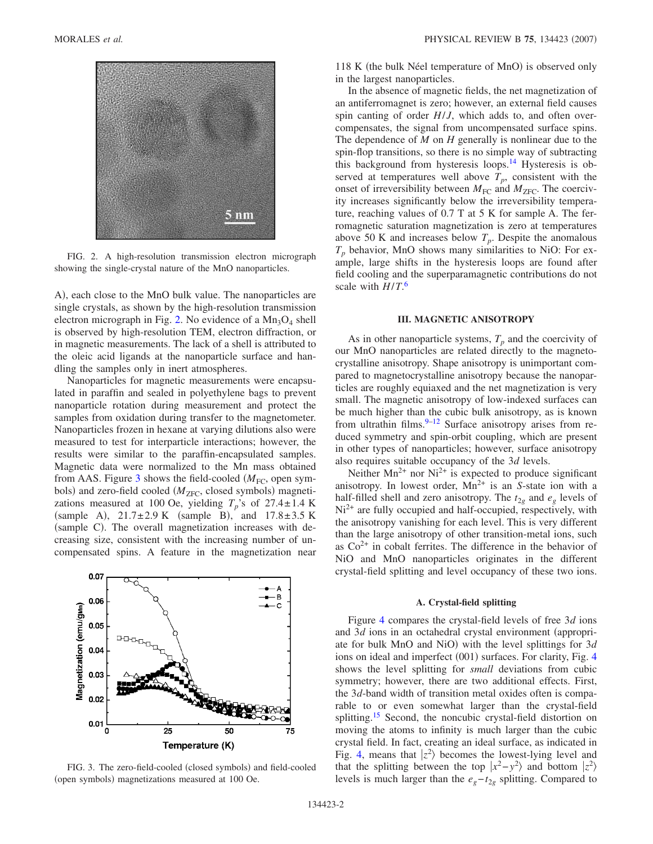<span id="page-3-0"></span>

FIG. 2. A high-resolution transmission electron micrograph showing the single-crystal nature of the MnO nanoparticles.

A), each close to the MnO bulk value. The nanoparticles are single crystals, as shown by the high-resolution transmission electron micrograph in Fig. [2.](#page-3-0) No evidence of a  $Mn_3O_4$  shell is observed by high-resolution TEM, electron diffraction, or in magnetic measurements. The lack of a shell is attributed to the oleic acid ligands at the nanoparticle surface and handling the samples only in inert atmospheres.

Nanoparticles for magnetic measurements were encapsulated in paraffin and sealed in polyethylene bags to prevent nanoparticle rotation during measurement and protect the samples from oxidation during transfer to the magnetometer. Nanoparticles frozen in hexane at varying dilutions also were measured to test for interparticle interactions; however, the results were similar to the paraffin-encapsulated samples. Magnetic data were normalized to the Mn mass obtained from AAS. Figure [3](#page-3-1) shows the field-cooled  $(M_{FC})$ , open symbols) and zero-field cooled ( $M_{\rm ZFC}$ , closed symbols) magnetizations measured at 100 Oe, yielding  $T_p$ 's of 27.4±1.4 K (sample A),  $21.7 \pm 2.9$  K (sample B), and  $17.8 \pm 3.5$  K (sample C). The overall magnetization increases with decreasing size, consistent with the increasing number of uncompensated spins. A feature in the magnetization near

<span id="page-3-1"></span>

FIG. 3. The zero-field-cooled (closed symbols) and field-cooled (open symbols) magnetizations measured at 100 Oe.

118 K (the bulk Néel temperature of MnO) is observed only in the largest nanoparticles.

In the absence of magnetic fields, the net magnetization of an antiferromagnet is zero; however, an external field causes spin canting of order *H*/*J*, which adds to, and often overcompensates, the signal from uncompensated surface spins. The dependence of *M* on *H* generally is nonlinear due to the spin-flop transitions, so there is no simple way of subtracting this background from hysteresis loops. $14$  Hysteresis is observed at temperatures well above  $T_p$ , consistent with the onset of irreversibility between  $M_{\text{FC}}$  and  $M_{\text{ZFC}}$ . The coercivity increases significantly below the irreversibility temperature, reaching values of 0.7 T at 5 K for sample A. The ferromagnetic saturation magnetization is zero at temperatures above 50 K and increases below  $T_p$ . Despite the anomalous  $T_p$  behavior, MnO shows many similarities to NiO: For example, large shifts in the hysteresis loops are found after field cooling and the superparamagnetic contributions do not scale with *H*/*T*. [6](#page-6-3)

#### **III. MAGNETIC ANISOTROPY**

As in other nanoparticle systems,  $T_p$  and the coercivity of our MnO nanoparticles are related directly to the magnetocrystalline anisotropy. Shape anisotropy is unimportant compared to magnetocrystalline anisotropy because the nanoparticles are roughly equiaxed and the net magnetization is very small. The magnetic anisotropy of low-indexed surfaces can be much higher than the cubic bulk anisotropy, as is known from ultrathin films. $9-12$  $9-12$  Surface anisotropy arises from reduced symmetry and spin-orbit coupling, which are present in other types of nanoparticles; however, surface anisotropy also requires suitable occupancy of the 3*d* levels.

Neither  $Mn^{2+}$  nor  $Ni^{2+}$  is expected to produce significant anisotropy. In lowest order,  $Mn^{2+}$  is an *S*-state ion with a half-filled shell and zero anisotropy. The  $t_{2g}$  and  $e_g$  levels of Ni<sup>2+</sup> are fully occupied and half-occupied, respectively, with the anisotropy vanishing for each level. This is very different than the large anisotropy of other transition-metal ions, such as  $Co<sup>2+</sup>$  in cobalt ferrites. The difference in the behavior of NiO and MnO nanoparticles originates in the different crystal-field splitting and level occupancy of these two ions.

#### **A. Crystal-field splitting**

Figure [4](#page-4-0) compares the crystal-field levels of free 3*d* ions and 3*d* ions in an octahedral crystal environment (appropriate for bulk MnO and NiO) with the level splittings for 3*d* ions on ideal and imperfect (001) surfaces. For clarity, Fig. [4](#page-4-0) shows the level splitting for *small* deviations from cubic symmetry; however, there are two additional effects. First, the 3*d*-band width of transition metal oxides often is comparable to or even somewhat larger than the crystal-field splitting.<sup>15</sup> Second, the noncubic crystal-field distortion on moving the atoms to infinity is much larger than the cubic crystal field. In fact, creating an ideal surface, as indicated in Fig. [4,](#page-4-0) means that  $|z^2\rangle$  becomes the lowest-lying level and that the splitting between the top  $|x^2-y^2\rangle$  and bottom  $|z^2\rangle$ levels is much larger than the  $e_g-t_{2g}$  splitting. Compared to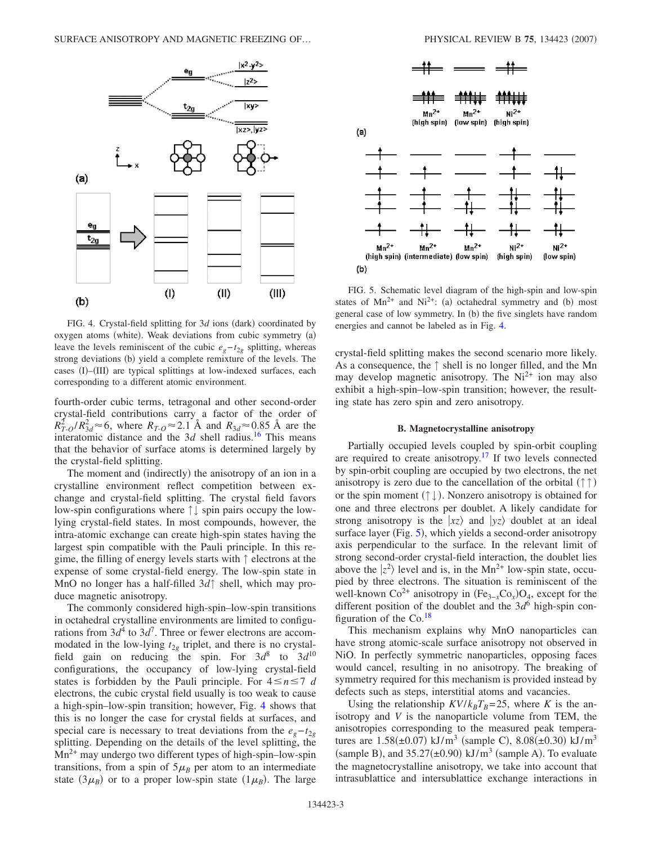<span id="page-4-0"></span>

FIG. 4. Crystal-field splitting for 3d ions (dark) coordinated by oxygen atoms (white). Weak deviations from cubic symmetry (a) leave the levels reminiscent of the cubic  $e_g - t_{2g}$  splitting, whereas strong deviations (b) yield a complete remixture of the levels. The cases (I)-(III) are typical splittings at low-indexed surfaces, each corresponding to a different atomic environment.

fourth-order cubic terms, tetragonal and other second-order crystal-field contributions carry a factor of the order of  $R_{T-O}^2/R_{3d}^2 \approx 6$ , where  $R_{T-O} \approx 2.1$  Å and  $R_{3d} \approx 0.85$  Å are the interatomic distance and the  $3d$  shell radius.<sup>16</sup> This means that the behavior of surface atoms is determined largely by the crystal-field splitting.

The moment and (indirectly) the anisotropy of an ion in a crystalline environment reflect competition between exchange and crystal-field splitting. The crystal field favors low-spin configurations where ↑↓ spin pairs occupy the lowlying crystal-field states. In most compounds, however, the intra-atomic exchange can create high-spin states having the largest spin compatible with the Pauli principle. In this regime, the filling of energy levels starts with ↑ electrons at the expense of some crystal-field energy. The low-spin state in MnO no longer has a half-filled 3*d*↑ shell, which may produce magnetic anisotropy.

The commonly considered high-spin–low-spin transitions in octahedral crystalline environments are limited to configurations from  $3d^4$  to  $3d^7$ . Three or fewer electrons are accommodated in the low-lying  $t_{2g}$  triplet, and there is no crystalfield gain on reducing the spin. For  $3d^8$  to  $3d^{10}$ configurations, the occupancy of low-lying crystal-field states is forbidden by the Pauli principle. For  $4 \le n \le 7$  *d* electrons, the cubic crystal field usually is too weak to cause a high-spin–low-spin transition; however, Fig. [4](#page-4-0) shows that this is no longer the case for crystal fields at surfaces, and special care is necessary to treat deviations from the  $e_g-t_{2g}$ splitting. Depending on the details of the level splitting, the Mn2+ may undergo two different types of high-spin–low-spin transitions, from a spin of  $5\mu_B$  per atom to an intermediate state  $(3\mu_B)$  or to a proper low-spin state  $(1\mu_B)$ . The large

<span id="page-4-1"></span>

FIG. 5. Schematic level diagram of the high-spin and low-spin states of  $Mn^{2+}$  and  $Ni^{2+}$ : (a) octahedral symmetry and (b) most general case of low symmetry. In (b) the five singlets have random energies and cannot be labeled as in Fig. [4.](#page-4-0)

crystal-field splitting makes the second scenario more likely. As a consequence, the ↑ shell is no longer filled, and the Mn may develop magnetic anisotropy. The  $Ni<sup>2+</sup>$  ion may also exhibit a high-spin–low-spin transition; however, the resulting state has zero spin and zero anisotropy.

#### **B. Magnetocrystalline anisotropy**

Partially occupied levels coupled by spin-orbit coupling are required to create anisotropy.<sup>17</sup> If two levels connected by spin-orbit coupling are occupied by two electrons, the net anisotropy is zero due to the cancellation of the orbital  $(\uparrow \uparrow)$ or the spin moment  $(\uparrow \downarrow)$ . Nonzero anisotropy is obtained for one and three electrons per doublet. A likely candidate for strong anisotropy is the  $|xz\rangle$  and  $|yz\rangle$  doublet at an ideal surface layer (Fig. [5](#page-4-1)), which yields a second-order anisotropy axis perpendicular to the surface. In the relevant limit of strong second-order crystal-field interaction, the doublet lies above the  $|z^2\rangle$  level and is, in the Mn<sup>2+</sup> low-spin state, occupied by three electrons. The situation is reminiscent of the well-known  $Co^{2+}$  anisotropy in  $(Fe_{3-x}Co_x)O_4$ , except for the different position of the doublet and the  $3d^6$  high-spin configuration of the  $Co.<sup>18</sup>$ 

This mechanism explains why MnO nanoparticles can have strong atomic-scale surface anisotropy not observed in NiO. In perfectly symmetric nanoparticles, opposing faces would cancel, resulting in no anisotropy. The breaking of symmetry required for this mechanism is provided instead by defects such as steps, interstitial atoms and vacancies.

Using the relationship  $KV/k_BT_B=25$ , where *K* is the anisotropy and *V* is the nanoparticle volume from TEM, the anisotropies corresponding to the measured peak temperatures are  $1.58(\pm 0.07)$  kJ/m<sup>3</sup> (sample C),  $8.08(\pm 0.30)$  kJ/m<sup>3</sup> (sample B), and  $35.27(\pm 0.90)$  kJ/m<sup>3</sup> (sample A). To evaluate the magnetocrystalline anisotropy, we take into account that intrasublattice and intersublattice exchange interactions in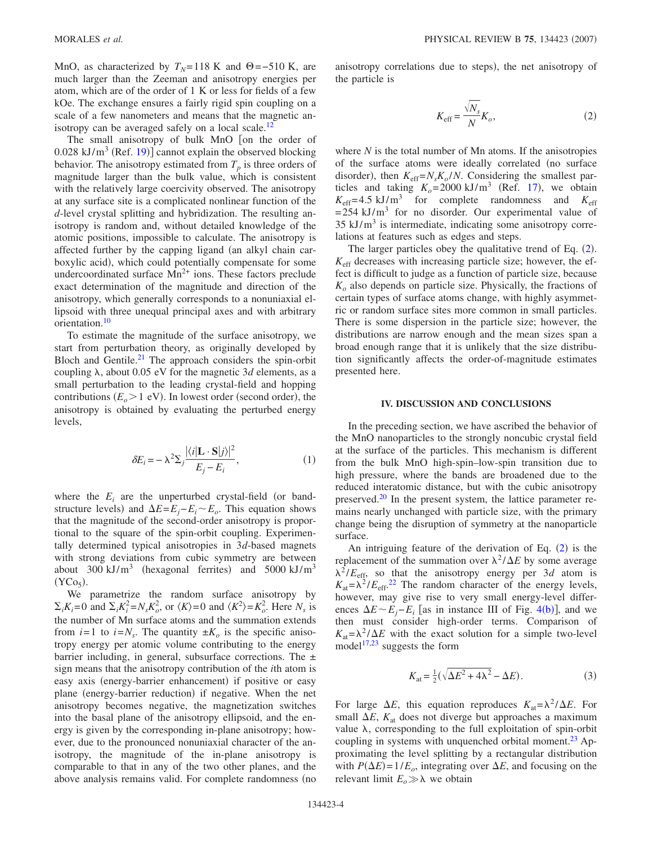MnO, as characterized by  $T_N$ =118 K and  $\Theta$ =−510 K, are much larger than the Zeeman and anisotropy energies per atom, which are of the order of 1 K or less for fields of a few kOe. The exchange ensures a fairly rigid spin coupling on a scale of a few nanometers and means that the magnetic anisotropy can be averaged safely on a local scale.<sup>12</sup>

The small anisotropy of bulk  $MnO$  on the order of  $0.028 \text{ kJ/m}^3$  (Ref. [19](#page-6-14))] cannot explain the observed blocking behavior. The anisotropy estimated from  $T_p$  is three orders of magnitude larger than the bulk value, which is consistent with the relatively large coercivity observed. The anisotropy at any surface site is a complicated nonlinear function of the *d*-level crystal splitting and hybridization. The resulting anisotropy is random and, without detailed knowledge of the atomic positions, impossible to calculate. The anisotropy is affected further by the capping ligand (an alkyl chain carboxylic acid), which could potentially compensate for some undercoordinated surface  $Mn^{2+}$  ions. These factors preclude exact determination of the magnitude and direction of the anisotropy, which generally corresponds to a nonuniaxial ellipsoid with three unequal principal axes and with arbitrary orientation.<sup>10</sup>

To estimate the magnitude of the surface anisotropy, we start from perturbation theory, as originally developed by Bloch and Gentile.<sup>21</sup> The approach considers the spin-orbit coupling  $\lambda$ , about 0.05 eV for the magnetic 3*d* elements, as a small perturbation to the leading crystal-field and hopping contributions  $(E_o > 1$  eV). In lowest order (second order), the anisotropy is obtained by evaluating the perturbed energy levels,

$$
\delta E_i = -\lambda^2 \Sigma_j \frac{|\langle i|\mathbf{L} \cdot \mathbf{S}|j\rangle|^2}{E_j - E_i},\tag{1}
$$

where the  $E_i$  are the unperturbed crystal-field (or bandstructure levels) and  $\Delta E = E_j - E_i \sim E_o$ . This equation shows that the magnitude of the second-order anisotropy is proportional to the square of the spin-orbit coupling. Experimentally determined typical anisotropies in 3*d*-based magnets with strong deviations from cubic symmetry are between about 300 kJ/m<sup>3</sup> (hexagonal ferrites) and 5000 kJ/m<sup>3</sup>  $(YCo<sub>5</sub>)$ .

We parametrize the random surface anisotropy by  $\Sigma_i K_i = 0$  and  $\Sigma_i K_i^2 = N_s K_o^2$ , or  $\langle K \rangle = 0$  and  $\langle K^2 \rangle = K_o^2$ . Here  $N_s$  is the number of Mn surface atoms and the summation extends from  $i=1$  to  $i=N_s$ . The quantity  $\pm K_o$  is the specific anisotropy energy per atomic volume contributing to the energy barrier including, in general, subsurface corrections. The  $\pm$ sign means that the anisotropy contribution of the *i*th atom is easy axis (energy-barrier enhancement) if positive or easy plane (energy-barrier reduction) if negative. When the net anisotropy becomes negative, the magnetization switches into the basal plane of the anisotropy ellipsoid, and the energy is given by the corresponding in-plane anisotropy; however, due to the pronounced nonuniaxial character of the anisotropy, the magnitude of the in-plane anisotropy is comparable to that in any of the two other planes, and the above analysis remains valid. For complete randomness (no

<span id="page-5-0"></span>anisotropy correlations due to steps), the net anisotropy of the particle is

$$
K_{\rm eff} = \frac{\sqrt{N_s}}{N} K_o,
$$
\n(2)

where *N* is the total number of Mn atoms. If the anisotropies of the surface atoms were ideally correlated (no surface disorder), then  $K_{\text{eff}} = N_s K_o / N$ . Considering the smallest particles and taking  $K_o = 2000 \text{ kJ/m}^3$  (Ref. [17](#page-6-12)), we obtain  $K_{\text{eff}}$ =4.5 kJ/m<sup>3</sup> for complete randomness and  $K_{\text{eff}}$  $=254$  kJ/m<sup>3</sup> for no disorder. Our experimental value of  $35 \text{ kJ/m}^3$  is intermediate, indicating some anisotropy correlations at features such as edges and steps.

The larger particles obey the qualitative trend of Eq. ([2](#page-5-0)).  $K<sub>eff</sub>$  decreases with increasing particle size; however, the effect is difficult to judge as a function of particle size, because  $K<sub>o</sub>$  also depends on particle size. Physically, the fractions of certain types of surface atoms change, with highly asymmetric or random surface sites more common in small particles. There is some dispersion in the particle size; however, the distributions are narrow enough and the mean sizes span a broad enough range that it is unlikely that the size distribution significantly affects the order-of-magnitude estimates presented here.

#### **IV. DISCUSSION AND CONCLUSIONS**

In the preceding section, we have ascribed the behavior of the MnO nanoparticles to the strongly noncubic crystal field at the surface of the particles. This mechanism is different from the bulk MnO high-spin–low-spin transition due to high pressure, where the bands are broadened due to the reduced interatomic distance, but with the cubic anisotropy preserved. $20$  In the present system, the lattice parameter remains nearly unchanged with particle size, with the primary change being the disruption of symmetry at the nanoparticle surface.

An intriguing feature of the derivation of Eq. ([2](#page-5-0)) is the replacement of the summation over  $\lambda^2/\Delta E$  by some average  $\lambda^2 / E_{\text{eff}}$ , so that the anisotropy energy per 3*d* atom is  $K_{\text{at}} = \lambda^2 / E_{\text{eff}}^2$ . The random character of the energy levels, however, may give rise to very small energy-level differences  $\Delta E \sim E_j - E_i$  [as in instance III of Fig. [4](#page-4-0)(b)], and we then must consider high-order terms. Comparison of  $K_{at} = \lambda^2 / \Delta E$  with the exact solution for a simple two-level model $1^{17,23}$  $1^{17,23}$  $1^{17,23}$  suggests the form

$$
K_{\rm at} = \frac{1}{2}(\sqrt{\Delta E^2 + 4\lambda^2} - \Delta E). \tag{3}
$$

For large  $\Delta E$ , this equation reproduces  $K_{at} = \lambda^2 / \Delta E$ . For small  $\Delta E$ ,  $K_{at}$  does not diverge but approaches a maximum value  $\lambda$ , corresponding to the full exploitation of spin-orbit coupling in systems with unquenched orbital moment.<sup>23</sup> Approximating the level splitting by a rectangular distribution with  $P(\Delta E) = 1/E_o$ , integrating over  $\Delta E$ , and focusing on the relevant limit  $E_o \gg \lambda$  we obtain